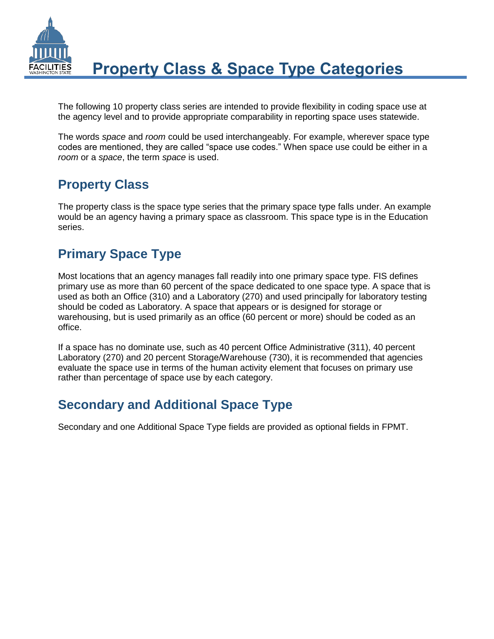

The following 10 property class series are intended to provide flexibility in coding space use at the agency level and to provide appropriate comparability in reporting space uses statewide.

The words *space* and *room* could be used interchangeably. For example, wherever space type codes are mentioned, they are called "space use codes." When space use could be either in a *room* or a *space*, the term *space* is used.

## **Property Class**

The property class is the space type series that the primary space type falls under. An example would be an agency having a primary space as classroom. This space type is in the Education series.

## **Primary Space Type**

Most locations that an agency manages fall readily into one primary space type. FIS defines primary use as more than 60 percent of the space dedicated to one space type. A space that is used as both an Office (310) and a Laboratory (270) and used principally for laboratory testing should be coded as Laboratory. A space that appears or is designed for storage or warehousing, but is used primarily as an office (60 percent or more) should be coded as an office.

If a space has no dominate use, such as 40 percent Office Administrative (311), 40 percent Laboratory (270) and 20 percent Storage/Warehouse (730), it is recommended that agencies evaluate the space use in terms of the human activity element that focuses on primary use rather than percentage of space use by each category.

## **Secondary and Additional Space Type**

Secondary and one Additional Space Type fields are provided as optional fields in FPMT.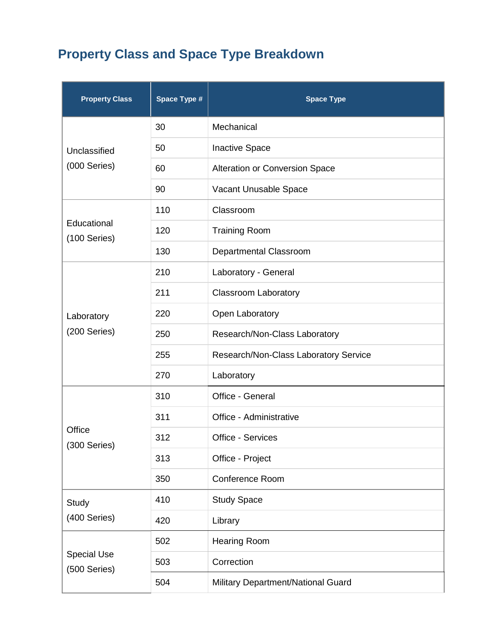# **Property Class and Space Type Breakdown**

| <b>Property Class</b>              | Space Type # | <b>Space Type</b>                     |
|------------------------------------|--------------|---------------------------------------|
| Unclassified<br>(000 Series)       | 30           | Mechanical                            |
|                                    | 50           | <b>Inactive Space</b>                 |
|                                    | 60           | Alteration or Conversion Space        |
|                                    | 90           | Vacant Unusable Space                 |
| Educational<br>(100 Series)        | 110          | Classroom                             |
|                                    | 120          | <b>Training Room</b>                  |
|                                    | 130          | Departmental Classroom                |
| Laboratory<br>(200 Series)         | 210          | Laboratory - General                  |
|                                    | 211          | <b>Classroom Laboratory</b>           |
|                                    | 220          | Open Laboratory                       |
|                                    | 250          | Research/Non-Class Laboratory         |
|                                    | 255          | Research/Non-Class Laboratory Service |
|                                    | 270          | Laboratory                            |
| Office<br>(300 Series)             | 310          | Office - General                      |
|                                    | 311          | Office - Administrative               |
|                                    | 312          | Office - Services                     |
|                                    | 313          | Office - Project                      |
|                                    | 350          | Conference Room                       |
| Study<br>(400 Series)              | 410          | <b>Study Space</b>                    |
|                                    | 420          | Library                               |
| <b>Special Use</b><br>(500 Series) | 502          | <b>Hearing Room</b>                   |
|                                    | 503          | Correction                            |
|                                    | 504          | Military Department/National Guard    |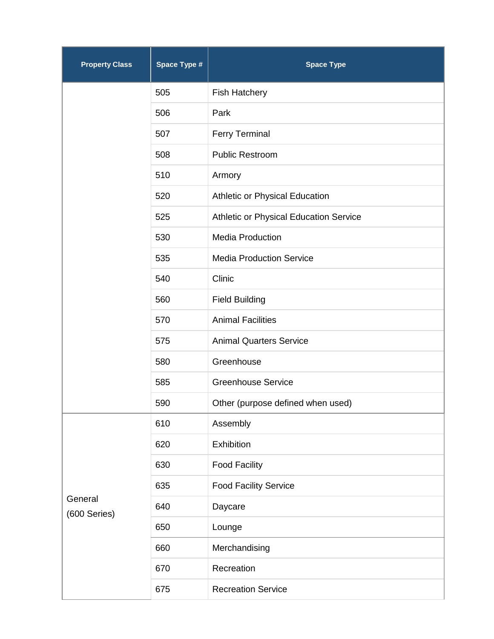| <b>Property Class</b>   | Space Type # | <b>Space Type</b>                      |
|-------------------------|--------------|----------------------------------------|
|                         | 505          | <b>Fish Hatchery</b>                   |
|                         | 506          | Park                                   |
|                         | 507          | <b>Ferry Terminal</b>                  |
|                         | 508          | <b>Public Restroom</b>                 |
|                         | 510          | Armory                                 |
|                         | 520          | Athletic or Physical Education         |
|                         | 525          | Athletic or Physical Education Service |
|                         | 530          | <b>Media Production</b>                |
|                         | 535          | <b>Media Production Service</b>        |
|                         | 540          | Clinic                                 |
|                         | 560          | <b>Field Building</b>                  |
|                         | 570          | <b>Animal Facilities</b>               |
|                         | 575          | <b>Animal Quarters Service</b>         |
|                         | 580          | Greenhouse                             |
|                         | 585          | <b>Greenhouse Service</b>              |
|                         | 590          | Other (purpose defined when used)      |
| General<br>(600 Series) | 610          | Assembly                               |
|                         | 620          | Exhibition                             |
|                         | 630          | <b>Food Facility</b>                   |
|                         | 635          | <b>Food Facility Service</b>           |
|                         | 640          | Daycare                                |
|                         | 650          | Lounge                                 |
|                         | 660          | Merchandising                          |
|                         | 670          | Recreation                             |
|                         | 675          | <b>Recreation Service</b>              |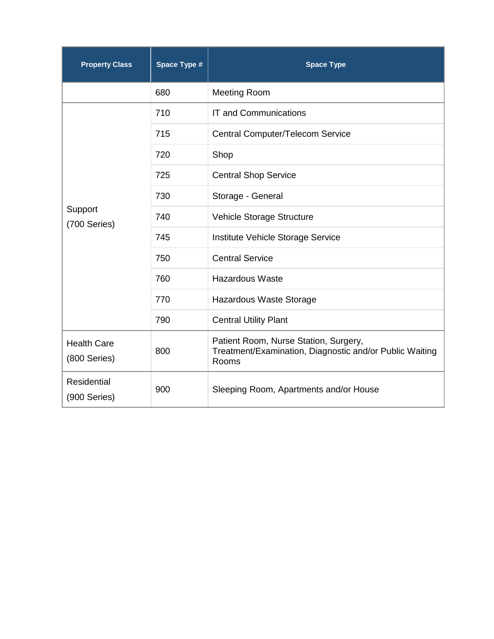| <b>Property Class</b>              | Space Type # | <b>Space Type</b>                                                                                         |
|------------------------------------|--------------|-----------------------------------------------------------------------------------------------------------|
|                                    | 680          | <b>Meeting Room</b>                                                                                       |
| Support<br>(700 Series)            | 710          | <b>IT and Communications</b>                                                                              |
|                                    | 715          | Central Computer/Telecom Service                                                                          |
|                                    | 720          | Shop                                                                                                      |
|                                    | 725          | <b>Central Shop Service</b>                                                                               |
|                                    | 730          | Storage - General                                                                                         |
|                                    | 740          | Vehicle Storage Structure                                                                                 |
|                                    | 745          | Institute Vehicle Storage Service                                                                         |
|                                    | 750          | <b>Central Service</b>                                                                                    |
|                                    | 760          | <b>Hazardous Waste</b>                                                                                    |
|                                    | 770          | Hazardous Waste Storage                                                                                   |
|                                    | 790          | <b>Central Utility Plant</b>                                                                              |
| <b>Health Care</b><br>(800 Series) | 800          | Patient Room, Nurse Station, Surgery,<br>Treatment/Examination, Diagnostic and/or Public Waiting<br>Rooms |
| <b>Residential</b><br>(900 Series) | 900          | Sleeping Room, Apartments and/or House                                                                    |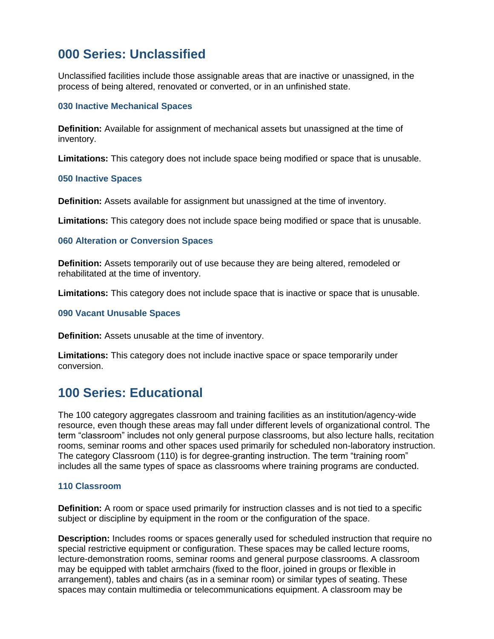## **000 Series: Unclassified**

Unclassified facilities include those assignable areas that are inactive or unassigned, in the process of being altered, renovated or converted, or in an unfinished state.

## **030 Inactive Mechanical Spaces**

**Definition:** Available for assignment of mechanical assets but unassigned at the time of inventory.

**Limitations:** This category does not include space being modified or space that is unusable.

## **050 Inactive Spaces**

**Definition:** Assets available for assignment but unassigned at the time of inventory.

**Limitations:** This category does not include space being modified or space that is unusable.

## **060 Alteration or Conversion Spaces**

**Definition:** Assets temporarily out of use because they are being altered, remodeled or rehabilitated at the time of inventory.

**Limitations:** This category does not include space that is inactive or space that is unusable.

## **090 Vacant Unusable Spaces**

**Definition:** Assets unusable at the time of inventory.

**Limitations:** This category does not include inactive space or space temporarily under conversion.

## **100 Series: Educational**

The 100 category aggregates classroom and training facilities as an institution/agency-wide resource, even though these areas may fall under different levels of organizational control. The term "classroom" includes not only general purpose classrooms, but also lecture halls, recitation rooms, seminar rooms and other spaces used primarily for scheduled non-laboratory instruction. The category Classroom (110) is for degree-granting instruction. The term "training room" includes all the same types of space as classrooms where training programs are conducted.

## **110 Classroom**

**Definition:** A room or space used primarily for instruction classes and is not tied to a specific subject or discipline by equipment in the room or the configuration of the space.

**Description:** Includes rooms or spaces generally used for scheduled instruction that require no special restrictive equipment or configuration. These spaces may be called lecture rooms, lecture-demonstration rooms, seminar rooms and general purpose classrooms. A classroom may be equipped with tablet armchairs (fixed to the floor, joined in groups or flexible in arrangement), tables and chairs (as in a seminar room) or similar types of seating. These spaces may contain multimedia or telecommunications equipment. A classroom may be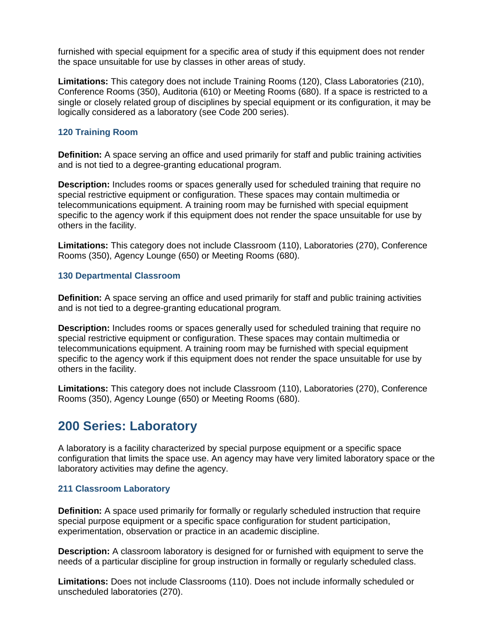furnished with special equipment for a specific area of study if this equipment does not render the space unsuitable for use by classes in other areas of study.

**Limitations:** This category does not include Training Rooms (120), Class Laboratories (210), Conference Rooms (350), Auditoria (610) or Meeting Rooms (680). If a space is restricted to a single or closely related group of disciplines by special equipment or its configuration, it may be logically considered as a laboratory (see Code 200 series).

## **120 Training Room**

**Definition:** A space serving an office and used primarily for staff and public training activities and is not tied to a degree-granting educational program.

**Description:** Includes rooms or spaces generally used for scheduled training that require no special restrictive equipment or configuration. These spaces may contain multimedia or telecommunications equipment. A training room may be furnished with special equipment specific to the agency work if this equipment does not render the space unsuitable for use by others in the facility.

**Limitations:** This category does not include Classroom (110), Laboratories (270), Conference Rooms (350), Agency Lounge (650) or Meeting Rooms (680).

## **130 Departmental Classroom**

**Definition:** A space serving an office and used primarily for staff and public training activities and is not tied to a degree-granting educational program*.*

**Description:** Includes rooms or spaces generally used for scheduled training that require no special restrictive equipment or configuration. These spaces may contain multimedia or telecommunications equipment. A training room may be furnished with special equipment specific to the agency work if this equipment does not render the space unsuitable for use by others in the facility.

**Limitations:** This category does not include Classroom (110), Laboratories (270), Conference Rooms (350), Agency Lounge (650) or Meeting Rooms (680).

## **200 Series: Laboratory**

A laboratory is a facility characterized by special purpose equipment or a specific space configuration that limits the space use. An agency may have very limited laboratory space or the laboratory activities may define the agency.

## **211 Classroom Laboratory**

**Definition:** A space used primarily for formally or regularly scheduled instruction that require special purpose equipment or a specific space configuration for student participation, experimentation, observation or practice in an academic discipline.

**Description:** A classroom laboratory is designed for or furnished with equipment to serve the needs of a particular discipline for group instruction in formally or regularly scheduled class.

**Limitations:** Does not include Classrooms (110). Does not include informally scheduled or unscheduled laboratories (270).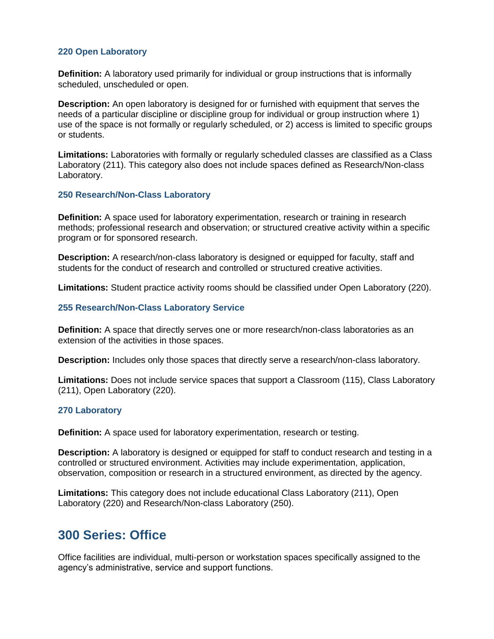## **220 Open Laboratory**

**Definition:** A laboratory used primarily for individual or group instructions that is informally scheduled, unscheduled or open.

**Description:** An open laboratory is designed for or furnished with equipment that serves the needs of a particular discipline or discipline group for individual or group instruction where 1) use of the space is not formally or regularly scheduled, or 2) access is limited to specific groups or students.

**Limitations:** Laboratories with formally or regularly scheduled classes are classified as a Class Laboratory (211). This category also does not include spaces defined as Research/Non-class Laboratory.

### **250 Research/Non-Class Laboratory**

**Definition:** A space used for laboratory experimentation, research or training in research methods; professional research and observation; or structured creative activity within a specific program or for sponsored research.

**Description:** A research/non-class laboratory is designed or equipped for faculty, staff and students for the conduct of research and controlled or structured creative activities.

**Limitations:** Student practice activity rooms should be classified under Open Laboratory (220).

### **255 Research/Non-Class Laboratory Service**

**Definition:** A space that directly serves one or more research/non-class laboratories as an extension of the activities in those spaces.

**Description:** Includes only those spaces that directly serve a research/non-class laboratory.

**Limitations:** Does not include service spaces that support a Classroom (115), Class Laboratory (211), Open Laboratory (220).

#### **270 Laboratory**

**Definition:** A space used for laboratory experimentation, research or testing.

**Description:** A laboratory is designed or equipped for staff to conduct research and testing in a controlled or structured environment. Activities may include experimentation, application, observation, composition or research in a structured environment, as directed by the agency.

**Limitations:** This category does not include educational Class Laboratory (211), Open Laboratory (220) and Research/Non-class Laboratory (250).

## **300 Series: Office**

Office facilities are individual, multi-person or workstation spaces specifically assigned to the agency's administrative, service and support functions.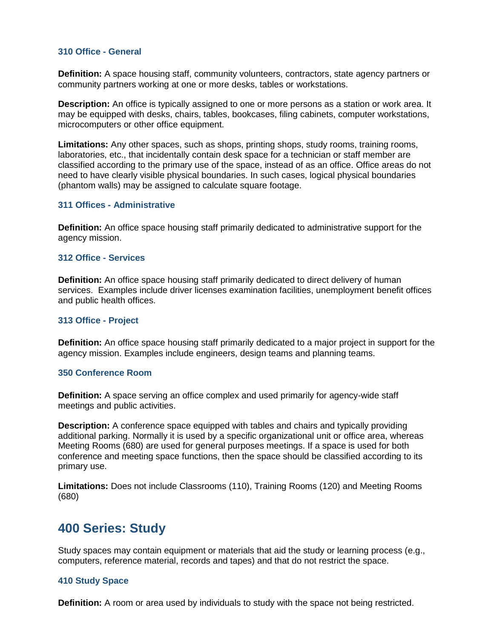### **310 Office - General**

**Definition:** A space housing staff, community volunteers, contractors, state agency partners or community partners working at one or more desks, tables or workstations.

**Description:** An office is typically assigned to one or more persons as a station or work area. It may be equipped with desks, chairs, tables, bookcases, filing cabinets, computer workstations, microcomputers or other office equipment.

**Limitations:** Any other spaces, such as shops, printing shops, study rooms, training rooms, laboratories, etc., that incidentally contain desk space for a technician or staff member are classified according to the primary use of the space, instead of as an office. Office areas do not need to have clearly visible physical boundaries. In such cases, logical physical boundaries (phantom walls) may be assigned to calculate square footage.

#### **311 Offices - Administrative**

**Definition:** An office space housing staff primarily dedicated to administrative support for the agency mission.

#### **312 Office - Services**

**Definition:** An office space housing staff primarily dedicated to direct delivery of human services. Examples include driver licenses examination facilities, unemployment benefit offices and public health offices.

#### **313 Office - Project**

**Definition:** An office space housing staff primarily dedicated to a major project in support for the agency mission. Examples include engineers, design teams and planning teams.

#### **350 Conference Room**

**Definition:** A space serving an office complex and used primarily for agency-wide staff meetings and public activities.

**Description:** A conference space equipped with tables and chairs and typically providing additional parking. Normally it is used by a specific organizational unit or office area, whereas Meeting Rooms (680) are used for general purposes meetings. If a space is used for both conference and meeting space functions, then the space should be classified according to its primary use.

**Limitations:** Does not include Classrooms (110), Training Rooms (120) and Meeting Rooms (680)

## **400 Series: Study**

Study spaces may contain equipment or materials that aid the study or learning process (e.g., computers, reference material, records and tapes) and that do not restrict the space.

## **410 Study Space**

**Definition:** A room or area used by individuals to study with the space not being restricted.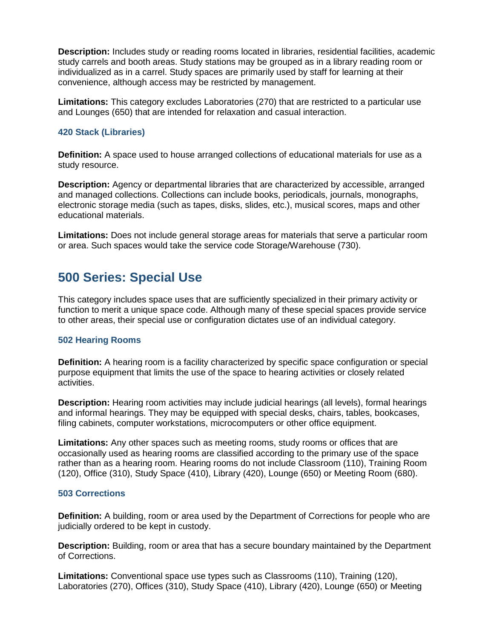**Description:** Includes study or reading rooms located in libraries, residential facilities, academic study carrels and booth areas. Study stations may be grouped as in a library reading room or individualized as in a carrel. Study spaces are primarily used by staff for learning at their convenience, although access may be restricted by management.

**Limitations:** This category excludes Laboratories (270) that are restricted to a particular use and Lounges (650) that are intended for relaxation and casual interaction.

## **420 Stack (Libraries)**

**Definition:** A space used to house arranged collections of educational materials for use as a study resource.

**Description:** Agency or departmental libraries that are characterized by accessible, arranged and managed collections. Collections can include books, periodicals, journals, monographs, electronic storage media (such as tapes, disks, slides, etc.), musical scores, maps and other educational materials.

**Limitations:** Does not include general storage areas for materials that serve a particular room or area. Such spaces would take the service code Storage/Warehouse (730).

## **500 Series: Special Use**

This category includes space uses that are sufficiently specialized in their primary activity or function to merit a unique space code. Although many of these special spaces provide service to other areas, their special use or configuration dictates use of an individual category.

## **502 Hearing Rooms**

**Definition:** A hearing room is a facility characterized by specific space configuration or special purpose equipment that limits the use of the space to hearing activities or closely related activities.

**Description:** Hearing room activities may include judicial hearings (all levels), formal hearings and informal hearings. They may be equipped with special desks, chairs, tables, bookcases, filing cabinets, computer workstations, microcomputers or other office equipment.

**Limitations:** Any other spaces such as meeting rooms, study rooms or offices that are occasionally used as hearing rooms are classified according to the primary use of the space rather than as a hearing room. Hearing rooms do not include Classroom (110), Training Room (120), Office (310), Study Space (410), Library (420), Lounge (650) or Meeting Room (680).

## **503 Corrections**

**Definition:** A building, room or area used by the Department of Corrections for people who are judicially ordered to be kept in custody.

**Description:** Building, room or area that has a secure boundary maintained by the Department of Corrections.

**Limitations:** Conventional space use types such as Classrooms (110), Training (120), Laboratories (270), Offices (310), Study Space (410), Library (420), Lounge (650) or Meeting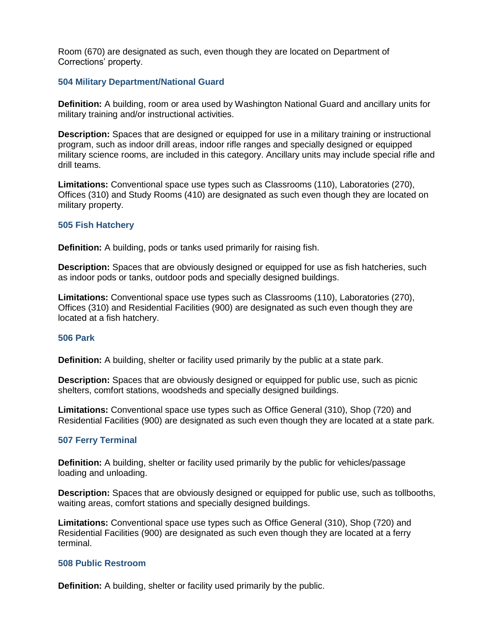Room (670) are designated as such, even though they are located on Department of Corrections' property.

## **504 Military Department/National Guard**

**Definition:** A building, room or area used by Washington National Guard and ancillary units for military training and/or instructional activities.

**Description:** Spaces that are designed or equipped for use in a military training or instructional program, such as indoor drill areas, indoor rifle ranges and specially designed or equipped military science rooms, are included in this category. Ancillary units may include special rifle and drill teams.

**Limitations:** Conventional space use types such as Classrooms (110), Laboratories (270), Offices (310) and Study Rooms (410) are designated as such even though they are located on military property.

## **505 Fish Hatchery**

**Definition:** A building, pods or tanks used primarily for raising fish.

**Description:** Spaces that are obviously designed or equipped for use as fish hatcheries, such as indoor pods or tanks, outdoor pods and specially designed buildings.

**Limitations:** Conventional space use types such as Classrooms (110), Laboratories (270), Offices (310) and Residential Facilities (900) are designated as such even though they are located at a fish hatchery.

## **506 Park**

**Definition:** A building, shelter or facility used primarily by the public at a state park.

**Description:** Spaces that are obviously designed or equipped for public use, such as picnic shelters, comfort stations, woodsheds and specially designed buildings.

**Limitations:** Conventional space use types such as Office General (310), Shop (720) and Residential Facilities (900) are designated as such even though they are located at a state park.

## **507 Ferry Terminal**

**Definition:** A building, shelter or facility used primarily by the public for vehicles/passage loading and unloading.

**Description:** Spaces that are obviously designed or equipped for public use, such as tollbooths, waiting areas, comfort stations and specially designed buildings.

**Limitations:** Conventional space use types such as Office General (310), Shop (720) and Residential Facilities (900) are designated as such even though they are located at a ferry terminal.

## **508 Public Restroom**

**Definition:** A building, shelter or facility used primarily by the public.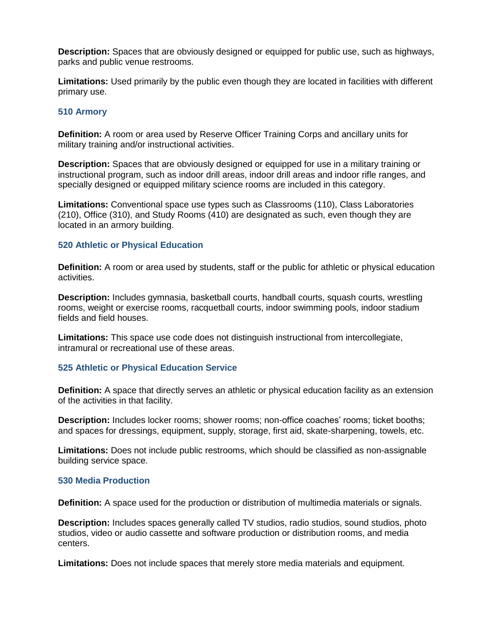**Description:** Spaces that are obviously designed or equipped for public use, such as highways, parks and public venue restrooms.

**Limitations:** Used primarily by the public even though they are located in facilities with different primary use.

### **510 Armory**

**Definition:** A room or area used by Reserve Officer Training Corps and ancillary units for military training and/or instructional activities.

**Description:** Spaces that are obviously designed or equipped for use in a military training or instructional program, such as indoor drill areas, indoor drill areas and indoor rifle ranges, and specially designed or equipped military science rooms are included in this category.

**Limitations:** Conventional space use types such as Classrooms (110), Class Laboratories (210), Office (310), and Study Rooms (410) are designated as such, even though they are located in an armory building.

#### **520 Athletic or Physical Education**

**Definition:** A room or area used by students, staff or the public for athletic or physical education activities.

**Description:** Includes gymnasia, basketball courts, handball courts, squash courts, wrestling rooms, weight or exercise rooms, racquetball courts, indoor swimming pools, indoor stadium fields and field houses.

**Limitations:** This space use code does not distinguish instructional from intercollegiate, intramural or recreational use of these areas.

## **525 Athletic or Physical Education Service**

**Definition:** A space that directly serves an athletic or physical education facility as an extension of the activities in that facility.

**Description:** Includes locker rooms; shower rooms; non-office coaches' rooms; ticket booths; and spaces for dressings, equipment, supply, storage, first aid, skate-sharpening, towels, etc.

**Limitations:** Does not include public restrooms, which should be classified as non-assignable building service space.

#### **530 Media Production**

**Definition:** A space used for the production or distribution of multimedia materials or signals.

**Description:** Includes spaces generally called TV studios, radio studios, sound studios, photo studios, video or audio cassette and software production or distribution rooms, and media centers.

**Limitations:** Does not include spaces that merely store media materials and equipment.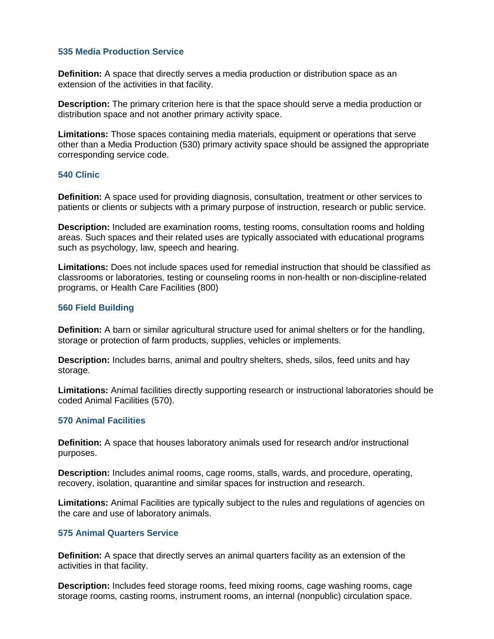## **535 Media Production Service**

**Definition:** A space that directly serves a media production or distribution space as an extension of the activities in that facility.

**Description:** The primary criterion here is that the space should serve a media production or distribution space and not another primary activity space.

**Limitations:** Those spaces containing media materials, equipment or operations that serve other than a Media Production (530) primary activity space should be assigned the appropriate corresponding service code.

## **540 Clinic**

**Definition:** A space used for providing diagnosis, consultation, treatment or other services to patients or clients or subjects with a primary purpose of instruction, research or public service.

**Description:** Included are examination rooms, testing rooms, consultation rooms and holding areas. Such spaces and their related uses are typically associated with educational programs such as psychology, law, speech and hearing.

**Limitations:** Does not include spaces used for remedial instruction that should be classified as classrooms or laboratories, testing or counseling rooms in non-health or non-discipline-related programs, or Health Care Facilities (800)

## **560 Field Building**

**Definition:** A barn or similar agricultural structure used for animal shelters or for the handling, storage or protection of farm products, supplies, vehicles or implements.

**Description:** Includes barns, animal and poultry shelters, sheds, silos, feed units and hay storage.

**Limitations:** Animal facilities directly supporting research or instructional laboratories should be coded Animal Facilities (570).

#### **570 Animal Facilities**

**Definition:** A space that houses laboratory animals used for research and/or instructional purposes.

**Description:** Includes animal rooms, cage rooms, stalls, wards, and procedure, operating, recovery, isolation, quarantine and similar spaces for instruction and research.

**Limitations:** Animal Facilities are typically subject to the rules and regulations of agencies on the care and use of laboratory animals.

#### **575 Animal Quarters Service**

**Definition:** A space that directly serves an animal quarters facility as an extension of the activities in that facility.

**Description:** Includes feed storage rooms, feed mixing rooms, cage washing rooms, cage storage rooms, casting rooms, instrument rooms, an internal (nonpublic) circulation space.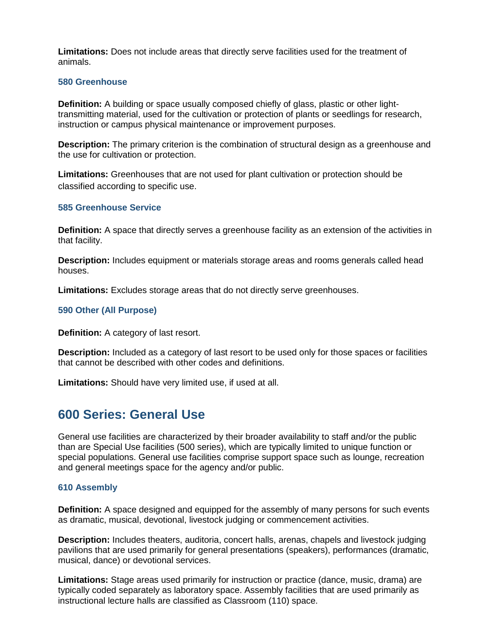**Limitations:** Does not include areas that directly serve facilities used for the treatment of animals.

### **580 Greenhouse**

**Definition:** A building or space usually composed chiefly of glass, plastic or other lighttransmitting material, used for the cultivation or protection of plants or seedlings for research, instruction or campus physical maintenance or improvement purposes.

**Description:** The primary criterion is the combination of structural design as a greenhouse and the use for cultivation or protection.

**Limitations:** Greenhouses that are not used for plant cultivation or protection should be classified according to specific use.

#### **585 Greenhouse Service**

**Definition:** A space that directly serves a greenhouse facility as an extension of the activities in that facility.

**Description:** Includes equipment or materials storage areas and rooms generals called head houses.

**Limitations:** Excludes storage areas that do not directly serve greenhouses.

## **590 Other (All Purpose)**

**Definition:** A category of last resort.

**Description:** Included as a category of last resort to be used only for those spaces or facilities that cannot be described with other codes and definitions.

**Limitations:** Should have very limited use, if used at all.

## **600 Series: General Use**

General use facilities are characterized by their broader availability to staff and/or the public than are Special Use facilities (500 series), which are typically limited to unique function or special populations. General use facilities comprise support space such as lounge, recreation and general meetings space for the agency and/or public.

#### **610 Assembly**

**Definition:** A space designed and equipped for the assembly of many persons for such events as dramatic, musical, devotional, livestock judging or commencement activities.

**Description:** Includes theaters, auditoria, concert halls, arenas, chapels and livestock judging pavilions that are used primarily for general presentations (speakers), performances (dramatic, musical, dance) or devotional services.

**Limitations:** Stage areas used primarily for instruction or practice (dance, music, drama) are typically coded separately as laboratory space. Assembly facilities that are used primarily as instructional lecture halls are classified as Classroom (110) space.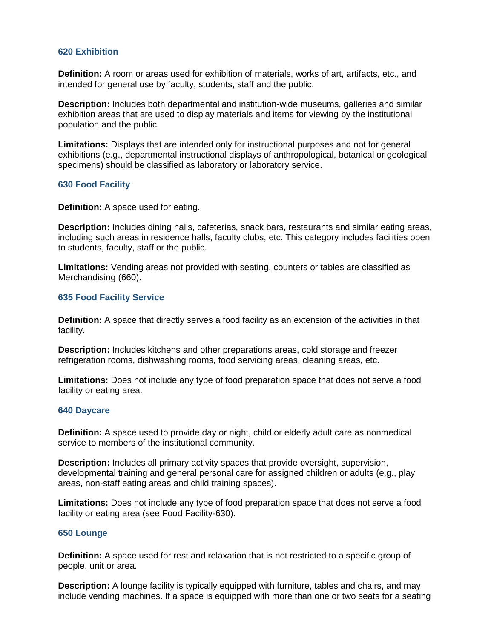### **620 Exhibition**

**Definition:** A room or areas used for exhibition of materials, works of art, artifacts, etc., and intended for general use by faculty, students, staff and the public.

**Description:** Includes both departmental and institution-wide museums, galleries and similar exhibition areas that are used to display materials and items for viewing by the institutional population and the public.

**Limitations:** Displays that are intended only for instructional purposes and not for general exhibitions (e.g., departmental instructional displays of anthropological, botanical or geological specimens) should be classified as laboratory or laboratory service.

#### **630 Food Facility**

**Definition:** A space used for eating.

**Description:** Includes dining halls, cafeterias, snack bars, restaurants and similar eating areas, including such areas in residence halls, faculty clubs, etc. This category includes facilities open to students, faculty, staff or the public.

**Limitations:** Vending areas not provided with seating, counters or tables are classified as Merchandising (660).

#### **635 Food Facility Service**

**Definition:** A space that directly serves a food facility as an extension of the activities in that facility.

**Description:** Includes kitchens and other preparations areas, cold storage and freezer refrigeration rooms, dishwashing rooms, food servicing areas, cleaning areas, etc.

**Limitations:** Does not include any type of food preparation space that does not serve a food facility or eating area.

#### **640 Daycare**

**Definition:** A space used to provide day or night, child or elderly adult care as nonmedical service to members of the institutional community.

**Description:** Includes all primary activity spaces that provide oversight, supervision, developmental training and general personal care for assigned children or adults (e.g., play areas, non-staff eating areas and child training spaces).

**Limitations:** Does not include any type of food preparation space that does not serve a food facility or eating area (see Food Facility-630).

## **650 Lounge**

**Definition:** A space used for rest and relaxation that is not restricted to a specific group of people, unit or area.

**Description:** A lounge facility is typically equipped with furniture, tables and chairs, and may include vending machines. If a space is equipped with more than one or two seats for a seating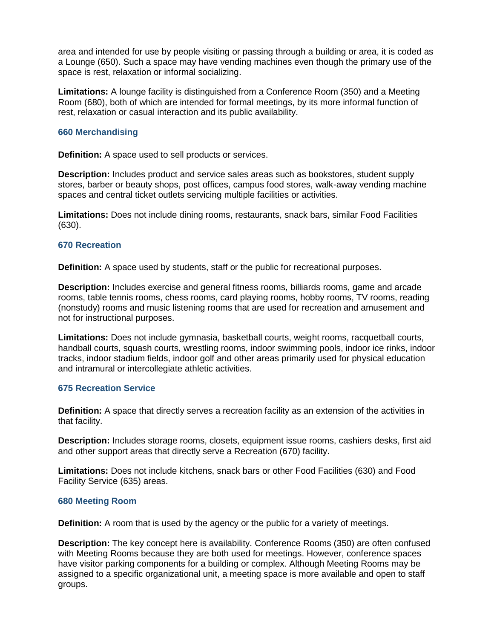area and intended for use by people visiting or passing through a building or area, it is coded as a Lounge (650). Such a space may have vending machines even though the primary use of the space is rest, relaxation or informal socializing.

**Limitations:** A lounge facility is distinguished from a Conference Room (350) and a Meeting Room (680), both of which are intended for formal meetings, by its more informal function of rest, relaxation or casual interaction and its public availability.

## **660 Merchandising**

**Definition:** A space used to sell products or services.

**Description:** Includes product and service sales areas such as bookstores, student supply stores, barber or beauty shops, post offices, campus food stores, walk-away vending machine spaces and central ticket outlets servicing multiple facilities or activities.

**Limitations:** Does not include dining rooms, restaurants, snack bars, similar Food Facilities (630).

#### **670 Recreation**

**Definition:** A space used by students, staff or the public for recreational purposes.

**Description:** Includes exercise and general fitness rooms, billiards rooms, game and arcade rooms, table tennis rooms, chess rooms, card playing rooms, hobby rooms, TV rooms, reading (nonstudy) rooms and music listening rooms that are used for recreation and amusement and not for instructional purposes.

**Limitations:** Does not include gymnasia, basketball courts, weight rooms, racquetball courts, handball courts, squash courts, wrestling rooms, indoor swimming pools, indoor ice rinks, indoor tracks, indoor stadium fields, indoor golf and other areas primarily used for physical education and intramural or intercollegiate athletic activities.

## **675 Recreation Service**

**Definition:** A space that directly serves a recreation facility as an extension of the activities in that facility.

**Description:** Includes storage rooms, closets, equipment issue rooms, cashiers desks, first aid and other support areas that directly serve a Recreation (670) facility.

**Limitations:** Does not include kitchens, snack bars or other Food Facilities (630) and Food Facility Service (635) areas.

#### **680 Meeting Room**

**Definition:** A room that is used by the agency or the public for a variety of meetings.

**Description:** The key concept here is availability. Conference Rooms (350) are often confused with Meeting Rooms because they are both used for meetings. However, conference spaces have visitor parking components for a building or complex. Although Meeting Rooms may be assigned to a specific organizational unit, a meeting space is more available and open to staff groups.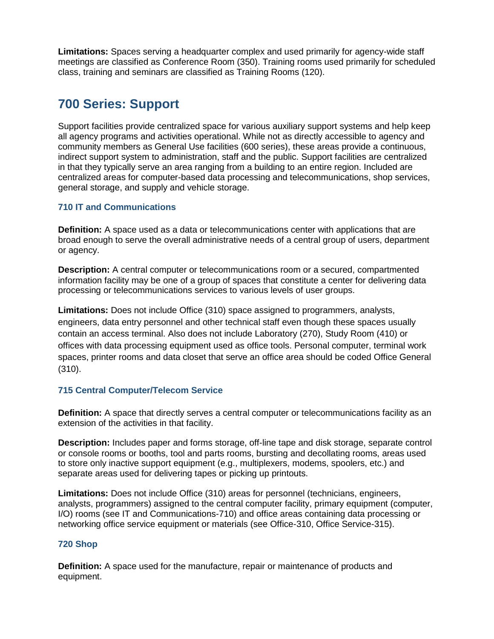**Limitations:** Spaces serving a headquarter complex and used primarily for agency-wide staff meetings are classified as Conference Room (350). Training rooms used primarily for scheduled class, training and seminars are classified as Training Rooms (120).

## **700 Series: Support**

Support facilities provide centralized space for various auxiliary support systems and help keep all agency programs and activities operational. While not as directly accessible to agency and community members as General Use facilities (600 series), these areas provide a continuous, indirect support system to administration, staff and the public. Support facilities are centralized in that they typically serve an area ranging from a building to an entire region. Included are centralized areas for computer-based data processing and telecommunications, shop services, general storage, and supply and vehicle storage.

## **710 IT and Communications**

**Definition:** A space used as a data or telecommunications center with applications that are broad enough to serve the overall administrative needs of a central group of users, department or agency.

**Description:** A central computer or telecommunications room or a secured, compartmented information facility may be one of a group of spaces that constitute a center for delivering data processing or telecommunications services to various levels of user groups.

**Limitations:** Does not include Office (310) space assigned to programmers, analysts, engineers, data entry personnel and other technical staff even though these spaces usually contain an access terminal. Also does not include Laboratory (270), Study Room (410) or offices with data processing equipment used as office tools. Personal computer, terminal work spaces, printer rooms and data closet that serve an office area should be coded Office General (310).

## **715 Central Computer/Telecom Service**

**Definition:** A space that directly serves a central computer or telecommunications facility as an extension of the activities in that facility.

**Description:** Includes paper and forms storage, off-line tape and disk storage, separate control or console rooms or booths, tool and parts rooms, bursting and decollating rooms, areas used to store only inactive support equipment (e.g., multiplexers, modems, spoolers, etc.) and separate areas used for delivering tapes or picking up printouts.

**Limitations:** Does not include Office (310) areas for personnel (technicians, engineers, analysts, programmers) assigned to the central computer facility, primary equipment (computer, I/O) rooms (see IT and Communications-710) and office areas containing data processing or networking office service equipment or materials (see Office-310, Office Service-315).

## **720 Shop**

**Definition:** A space used for the manufacture, repair or maintenance of products and equipment.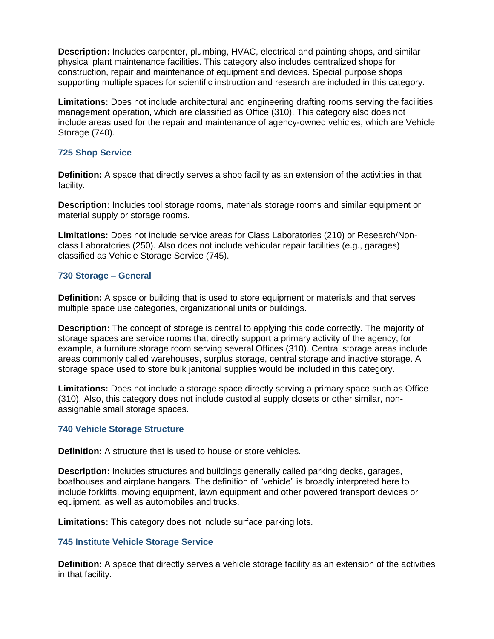**Description:** Includes carpenter, plumbing, HVAC, electrical and painting shops, and similar physical plant maintenance facilities. This category also includes centralized shops for construction, repair and maintenance of equipment and devices. Special purpose shops supporting multiple spaces for scientific instruction and research are included in this category.

**Limitations:** Does not include architectural and engineering drafting rooms serving the facilities management operation, which are classified as Office (310). This category also does not include areas used for the repair and maintenance of agency-owned vehicles, which are Vehicle Storage (740).

## **725 Shop Service**

**Definition:** A space that directly serves a shop facility as an extension of the activities in that facility.

**Description:** Includes tool storage rooms, materials storage rooms and similar equipment or material supply or storage rooms.

**Limitations:** Does not include service areas for Class Laboratories (210) or Research/Nonclass Laboratories (250). Also does not include vehicular repair facilities (e.g., garages) classified as Vehicle Storage Service (745).

## **730 Storage – General**

**Definition:** A space or building that is used to store equipment or materials and that serves multiple space use categories, organizational units or buildings.

**Description:** The concept of storage is central to applying this code correctly. The majority of storage spaces are service rooms that directly support a primary activity of the agency; for example, a furniture storage room serving several Offices (310). Central storage areas include areas commonly called warehouses, surplus storage, central storage and inactive storage. A storage space used to store bulk janitorial supplies would be included in this category.

**Limitations:** Does not include a storage space directly serving a primary space such as Office (310). Also, this category does not include custodial supply closets or other similar, nonassignable small storage spaces.

## **740 Vehicle Storage Structure**

**Definition:** A structure that is used to house or store vehicles.

**Description:** Includes structures and buildings generally called parking decks, garages, boathouses and airplane hangars. The definition of "vehicle" is broadly interpreted here to include forklifts, moving equipment, lawn equipment and other powered transport devices or equipment, as well as automobiles and trucks.

**Limitations:** This category does not include surface parking lots.

## **745 Institute Vehicle Storage Service**

**Definition:** A space that directly serves a vehicle storage facility as an extension of the activities in that facility.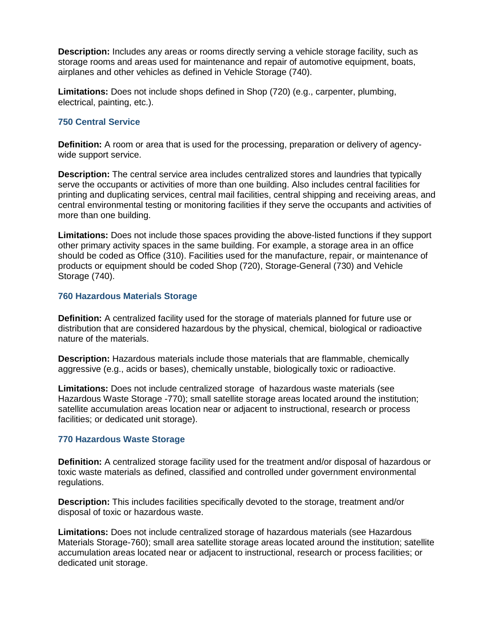**Description:** Includes any areas or rooms directly serving a vehicle storage facility, such as storage rooms and areas used for maintenance and repair of automotive equipment, boats, airplanes and other vehicles as defined in Vehicle Storage (740).

**Limitations:** Does not include shops defined in Shop (720) (e.g., carpenter, plumbing, electrical, painting, etc.).

## **750 Central Service**

**Definition:** A room or area that is used for the processing, preparation or delivery of agencywide support service.

**Description:** The central service area includes centralized stores and laundries that typically serve the occupants or activities of more than one building. Also includes central facilities for printing and duplicating services, central mail facilities, central shipping and receiving areas, and central environmental testing or monitoring facilities if they serve the occupants and activities of more than one building.

**Limitations:** Does not include those spaces providing the above-listed functions if they support other primary activity spaces in the same building. For example, a storage area in an office should be coded as Office (310). Facilities used for the manufacture, repair, or maintenance of products or equipment should be coded Shop (720), Storage-General (730) and Vehicle Storage (740).

## **760 Hazardous Materials Storage**

**Definition:** A centralized facility used for the storage of materials planned for future use or distribution that are considered hazardous by the physical, chemical, biological or radioactive nature of the materials.

**Description:** Hazardous materials include those materials that are flammable, chemically aggressive (e.g., acids or bases), chemically unstable, biologically toxic or radioactive.

**Limitations:** Does not include centralized storage of hazardous waste materials (see Hazardous Waste Storage -770); small satellite storage areas located around the institution; satellite accumulation areas location near or adjacent to instructional, research or process facilities; or dedicated unit storage).

## **770 Hazardous Waste Storage**

**Definition:** A centralized storage facility used for the treatment and/or disposal of hazardous or toxic waste materials as defined, classified and controlled under government environmental regulations.

**Description:** This includes facilities specifically devoted to the storage, treatment and/or disposal of toxic or hazardous waste.

**Limitations:** Does not include centralized storage of hazardous materials (see Hazardous Materials Storage-760); small area satellite storage areas located around the institution; satellite accumulation areas located near or adjacent to instructional, research or process facilities; or dedicated unit storage.